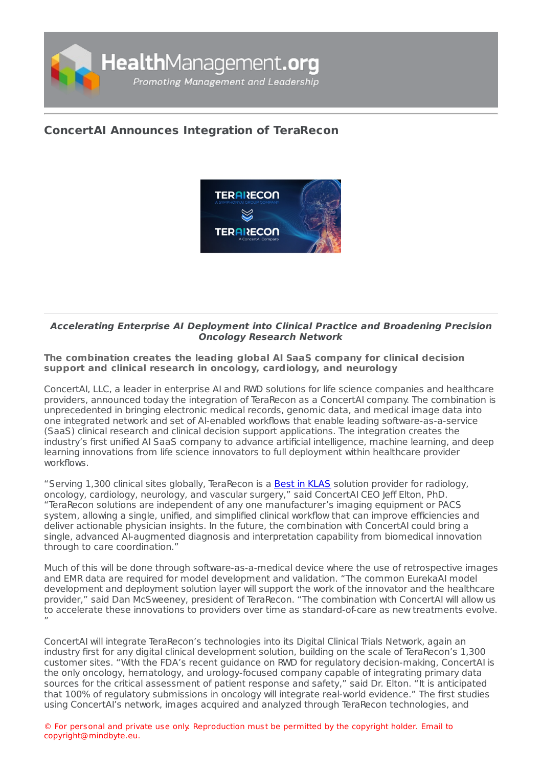

## **ConcertAI Announces [Integration](https://healthmanagement.org/s/concertai-announces-integration-of-terarecon) of TeraRecon**



## **Accelerating Enterprise AI Deployment into Clinical Practice and Broadening Precision Oncology Research Network**

**The combination creates the leading global AI SaaS company for clinical decision support and clinical research in oncology, cardiology, and neurology**

ConcertAI, LLC, a leader in enterprise AI and RWD solutions for life science companies and healthcare providers, announced today the integration of TeraRecon as a ConcertAI company. The combination is unprecedented in bringing electronic medical records, genomic data, and medical image data into one integrated network and set of AI-enabled workflows that enable leading software-as-a-service (SaaS) clinical research and clinical decision support applications. The integration creates the industry's first unified AI SaaS company to advance artificial intelligence, machine learning, and deep learning innovations from life science innovators to full deployment within healthcare provider workflows.

"Serving 1,300 clinical sites globally, TeraRecon is a Best in [KLAS](https://klasresearch.com/best-in-klas-ranking/advanced-visualization/2021/95) solution provider for radiology, oncology, cardiology, neurology, and vascular surgery," said ConcertAI CEO Jeff Elton, PhD. "TeraRecon solutions are independent of any one manufacturer's imaging equipment or PACS system, allowing a single, unified, and simplified clinical workflow that can improve efficiencies and deliver actionable physician insights. In the future, the combination with ConcertAI could bring a single, advanced AI-augmented diagnosis and interpretation capability from biomedical innovation through to care coordination."

Much of this will be done through software-as-a-medical device where the use of retrospective images and EMR data are required for model development and validation. "The common EurekaAI model development and deployment solution layer will support the work of the innovator and the healthcare provider," said Dan McSweeney, president of TeraRecon. "The combination with ConcertAI will allow us to accelerate these innovations to providers over time as standard-of-care as new treatments evolve. "

ConcertAI will integrate TeraRecon's technologies into its Digital Clinical Trials Network, again an industry first for any digital clinical development solution, building on the scale of TeraRecon's 1,300 customer sites. "With the FDA's recent guidance on RWD for regulatory decision-making, ConcertAI is the only oncology, hematology, and urology-focused company capable of integrating primary data sources for the critical assessment of patient response and safety," said Dr. Elton. "It is anticipated that 100% of regulatory submissions in oncology will integrate real-world evidence." The first studies using ConcertAI's network, images acquired and analyzed through TeraRecon technologies, and

© For personal and private use only. Reproduction must be permitted by the copyright holder. Email to copyright@mindbyte.eu.